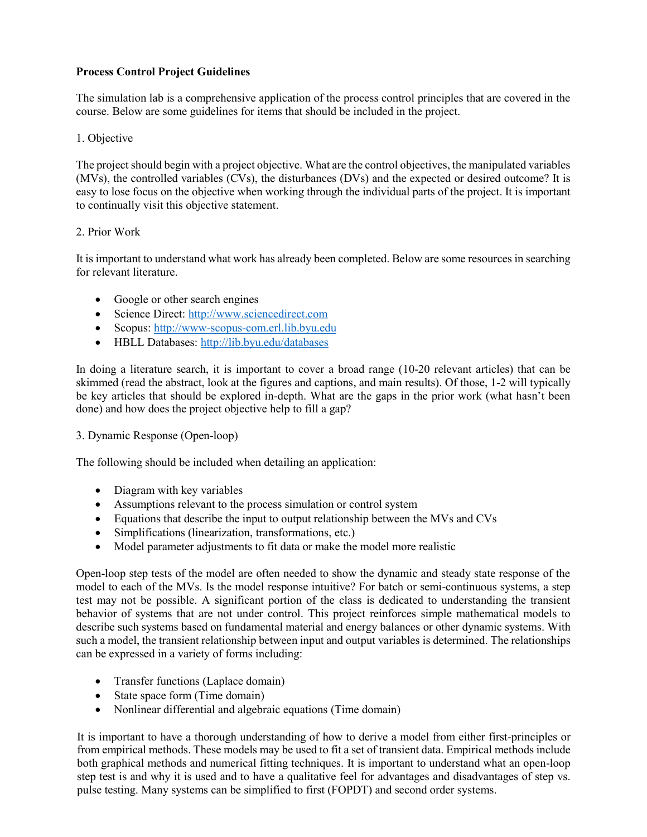# **Process Control Project Guidelines**

The simulation lab is a comprehensive application of the process control principles that are covered in the course. Below are some guidelines for items that should be included in the project.

# 1. Objective

The project should begin with a project objective. What are the control objectives, the manipulated variables (MVs), the controlled variables (CVs), the disturbances (DVs) and the expected or desired outcome? It is easy to lose focus on the objective when working through the individual parts of the project. It is important to continually visit this objective statement.

# 2. Prior Work

It is important to understand what work has already been completed. Below are some resources in searching for relevant literature.

- Google or other search engines
- Science Direct: [http://www.sciencedirect.com](http://www.sciencedirect.com/)
- Scopus: [http://www-scopus-com.erl.lib.byu.edu](http://www-scopus-com.erl.lib.byu.edu/)
- HBLL Databases:<http://lib.byu.edu/databases>

In doing a literature search, it is important to cover a broad range (10-20 relevant articles) that can be skimmed (read the abstract, look at the figures and captions, and main results). Of those, 1-2 will typically be key articles that should be explored in-depth. What are the gaps in the prior work (what hasn't been done) and how does the project objective help to fill a gap?

### 3. Dynamic Response (Open-loop)

The following should be included when detailing an application:

- Diagram with key variables
- Assumptions relevant to the process simulation or control system
- Equations that describe the input to output relationship between the MVs and CVs
- Simplifications (linearization, transformations, etc.)
- Model parameter adjustments to fit data or make the model more realistic

Open-loop step tests of the model are often needed to show the dynamic and steady state response of the model to each of the MVs. Is the model response intuitive? For batch or semi-continuous systems, a step test may not be possible. A significant portion of the class is dedicated to understanding the transient behavior of systems that are not under control. This project reinforces simple mathematical models to describe such systems based on fundamental material and energy balances or other dynamic systems. With such a model, the transient relationship between input and output variables is determined. The relationships can be expressed in a variety of forms including:

- Transfer functions (Laplace domain)
- State space form (Time domain)
- Nonlinear differential and algebraic equations (Time domain)

It is important to have a thorough understanding of how to derive a model from either first-principles or from empirical methods. These models may be used to fit a set of transient data. Empirical methods include both graphical methods and numerical fitting techniques. It is important to understand what an open-loop step test is and why it is used and to have a qualitative feel for advantages and disadvantages of step vs. pulse testing. Many systems can be simplified to first (FOPDT) and second order systems.